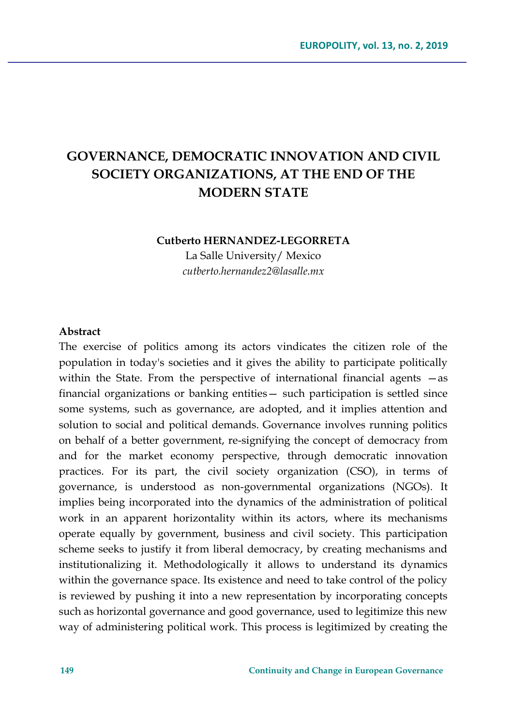# **GOVERNANCE, DEMOCRATIC INNOVATION AND CIVIL SOCIETY ORGANIZATIONS, AT THE END OF THE MODERN STATE**

#### **Cutberto HERNANDEZ-LEGORRETA**

La Salle University/ Mexico *cutberto.hernandez2@lasalle.mx*

#### **Abstract**

The exercise of politics among its actors vindicates the citizen role of the population in today's societies and it gives the ability to participate politically within the State. From the perspective of international financial agents —as financial organizations or banking entities— such participation is settled since some systems, such as governance, are adopted, and it implies attention and solution to social and political demands. Governance involves running politics on behalf of a better government, re-signifying the concept of democracy from and for the market economy perspective, through democratic innovation practices. For its part, the civil society organization (CSO), in terms of governance, is understood as non-governmental organizations (NGOs). It implies being incorporated into the dynamics of the administration of political work in an apparent horizontality within its actors, where its mechanisms operate equally by government, business and civil society. This participation scheme seeks to justify it from liberal democracy, by creating mechanisms and institutionalizing it. Methodologically it allows to understand its dynamics within the governance space. Its existence and need to take control of the policy is reviewed by pushing it into a new representation by incorporating concepts such as horizontal governance and good governance, used to legitimize this new way of administering political work. This process is legitimized by creating the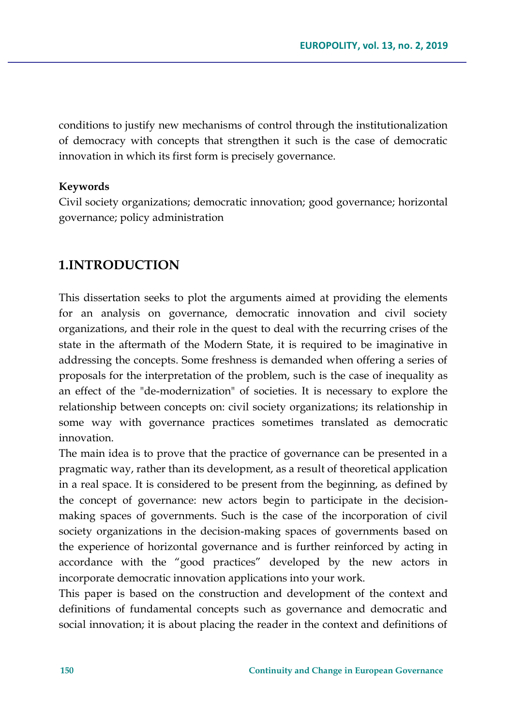conditions to justify new mechanisms of control through the institutionalization of democracy with concepts that strengthen it such is the case of democratic innovation in which its first form is precisely governance.

#### **Keywords**

Civil society organizations; democratic innovation; good governance; horizontal governance; policy administration

### **1.INTRODUCTION**

This dissertation seeks to plot the arguments aimed at providing the elements for an analysis on governance, democratic innovation and civil society organizations, and their role in the quest to deal with the recurring crises of the state in the aftermath of the Modern State, it is required to be imaginative in addressing the concepts. Some freshness is demanded when offering a series of proposals for the interpretation of the problem, such is the case of inequality as an effect of the "de-modernization" of societies. It is necessary to explore the relationship between concepts on: civil society organizations; its relationship in some way with governance practices sometimes translated as democratic innovation.

The main idea is to prove that the practice of governance can be presented in a pragmatic way, rather than its development, as a result of theoretical application in a real space. It is considered to be present from the beginning, as defined by the concept of governance: new actors begin to participate in the decisionmaking spaces of governments. Such is the case of the incorporation of civil society organizations in the decision-making spaces of governments based on the experience of horizontal governance and is further reinforced by acting in accordance with the "good practices" developed by the new actors in incorporate democratic innovation applications into your work.

This paper is based on the construction and development of the context and definitions of fundamental concepts such as governance and democratic and social innovation; it is about placing the reader in the context and definitions of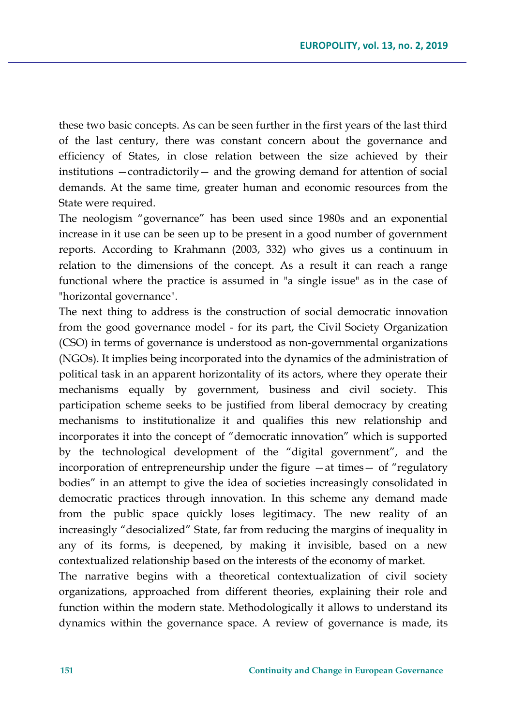these two basic concepts. As can be seen further in the first years of the last third of the last century, there was constant concern about the governance and efficiency of States, in close relation between the size achieved by their institutions  $-\text{contradictorily} -$  and the growing demand for attention of social demands. At the same time, greater human and economic resources from the State were required.

The neologism "governance" has been used since 1980s and an exponential increase in it use can be seen up to be present in a good number of government reports. According to Krahmann (2003, 332) who gives us a continuum in relation to the dimensions of the concept. As a result it can reach a range functional where the practice is assumed in "a single issue" as in the case of "horizontal governance".

The next thing to address is the construction of social democratic innovation from the good governance model - for its part, the Civil Society Organization (CSO) in terms of governance is understood as non-governmental organizations (NGOs). It implies being incorporated into the dynamics of the administration of political task in an apparent horizontality of its actors, where they operate their mechanisms equally by government, business and civil society. This participation scheme seeks to be justified from liberal democracy by creating mechanisms to institutionalize it and qualifies this new relationship and incorporates it into the concept of "democratic innovation" which is supported by the technological development of the "digital government", and the incorporation of entrepreneurship under the figure —at times— of "regulatory bodies" in an attempt to give the idea of societies increasingly consolidated in democratic practices through innovation. In this scheme any demand made from the public space quickly loses legitimacy. The new reality of an increasingly "desocialized" State, far from reducing the margins of inequality in any of its forms, is deepened, by making it invisible, based on a new contextualized relationship based on the interests of the economy of market.

The narrative begins with a theoretical contextualization of civil society organizations, approached from different theories, explaining their role and function within the modern state. Methodologically it allows to understand its dynamics within the governance space. A review of governance is made, its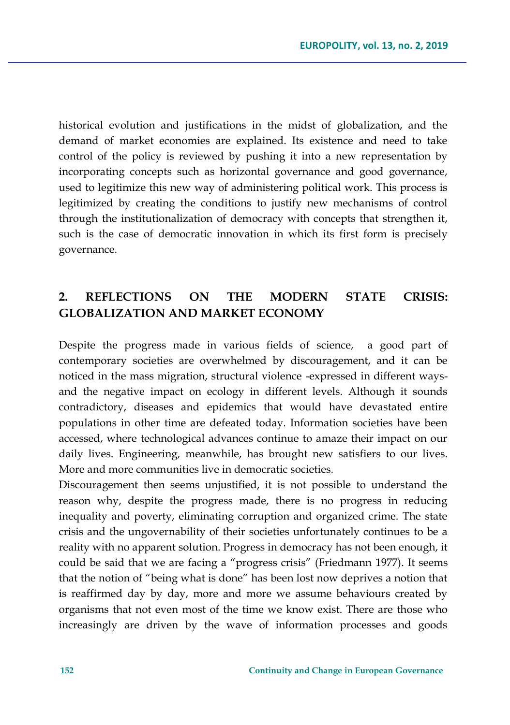historical evolution and justifications in the midst of globalization, and the demand of market economies are explained. Its existence and need to take control of the policy is reviewed by pushing it into a new representation by incorporating concepts such as horizontal governance and good governance, used to legitimize this new way of administering political work. This process is legitimized by creating the conditions to justify new mechanisms of control through the institutionalization of democracy with concepts that strengthen it, such is the case of democratic innovation in which its first form is precisely governance.

### **2. REFLECTIONS ON THE MODERN STATE CRISIS: GLOBALIZATION AND MARKET ECONOMY**

Despite the progress made in various fields of science, a good part of contemporary societies are overwhelmed by discouragement, and it can be noticed in the mass migration, structural violence -expressed in different waysand the negative impact on ecology in different levels. Although it sounds contradictory, diseases and epidemics that would have devastated entire populations in other time are defeated today. Information societies have been accessed, where technological advances continue to amaze their impact on our daily lives. Engineering, meanwhile, has brought new satisfiers to our lives. More and more communities live in democratic societies.

Discouragement then seems unjustified, it is not possible to understand the reason why, despite the progress made, there is no progress in reducing inequality and poverty, eliminating corruption and organized crime. The state crisis and the ungovernability of their societies unfortunately continues to be a reality with no apparent solution. Progress in democracy has not been enough, it could be said that we are facing a "progress crisis" (Friedmann 1977). It seems that the notion of "being what is done" has been lost now deprives a notion that is reaffirmed day by day, more and more we assume behaviours created by organisms that not even most of the time we know exist. There are those who increasingly are driven by the wave of information processes and goods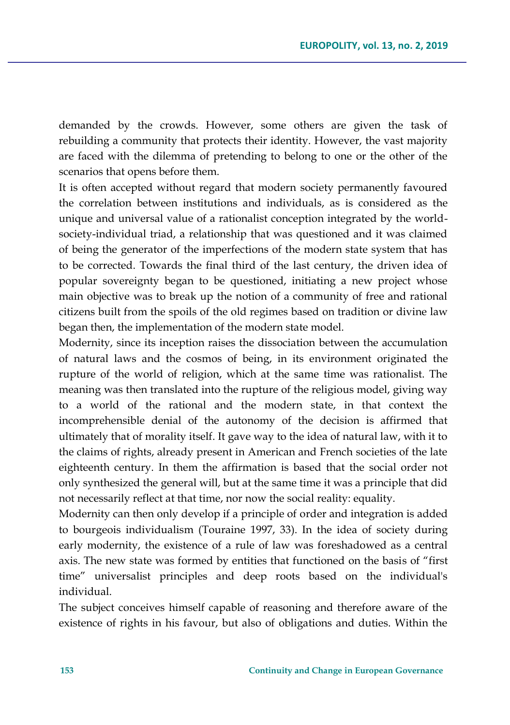demanded by the crowds. However, some others are given the task of rebuilding a community that protects their identity. However, the vast majority are faced with the dilemma of pretending to belong to one or the other of the scenarios that opens before them.

It is often accepted without regard that modern society permanently favoured the correlation between institutions and individuals, as is considered as the unique and universal value of a rationalist conception integrated by the worldsociety-individual triad, a relationship that was questioned and it was claimed of being the generator of the imperfections of the modern state system that has to be corrected. Towards the final third of the last century, the driven idea of popular sovereignty began to be questioned, initiating a new project whose main objective was to break up the notion of a community of free and rational citizens built from the spoils of the old regimes based on tradition or divine law began then, the implementation of the modern state model.

Modernity, since its inception raises the dissociation between the accumulation of natural laws and the cosmos of being, in its environment originated the rupture of the world of religion, which at the same time was rationalist. The meaning was then translated into the rupture of the religious model, giving way to a world of the rational and the modern state, in that context the incomprehensible denial of the autonomy of the decision is affirmed that ultimately that of morality itself. It gave way to the idea of natural law, with it to the claims of rights, already present in American and French societies of the late eighteenth century. In them the affirmation is based that the social order not only synthesized the general will, but at the same time it was a principle that did not necessarily reflect at that time, nor now the social reality: equality.

Modernity can then only develop if a principle of order and integration is added to bourgeois individualism (Touraine 1997, 33). In the idea of society during early modernity, the existence of a rule of law was foreshadowed as a central axis. The new state was formed by entities that functioned on the basis of "first time" universalist principles and deep roots based on the individual's individual.

The subject conceives himself capable of reasoning and therefore aware of the existence of rights in his favour, but also of obligations and duties. Within the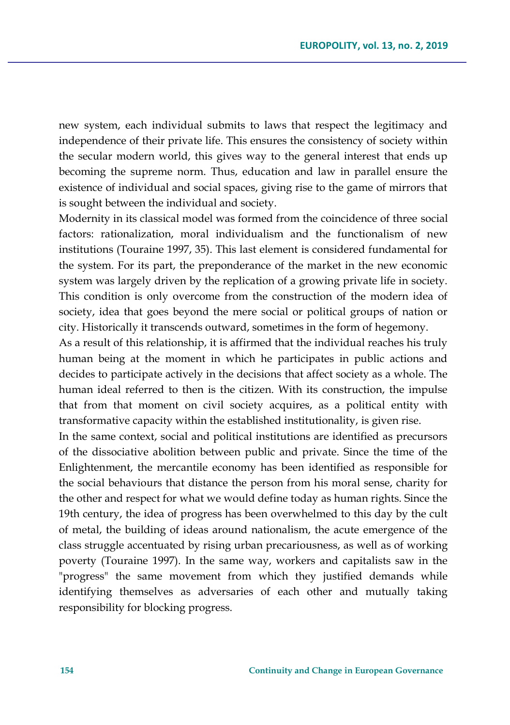new system, each individual submits to laws that respect the legitimacy and independence of their private life. This ensures the consistency of society within the secular modern world, this gives way to the general interest that ends up becoming the supreme norm. Thus, education and law in parallel ensure the existence of individual and social spaces, giving rise to the game of mirrors that is sought between the individual and society.

Modernity in its classical model was formed from the coincidence of three social factors: rationalization, moral individualism and the functionalism of new institutions (Touraine 1997, 35). This last element is considered fundamental for the system. For its part, the preponderance of the market in the new economic system was largely driven by the replication of a growing private life in society. This condition is only overcome from the construction of the modern idea of society, idea that goes beyond the mere social or political groups of nation or city. Historically it transcends outward, sometimes in the form of hegemony.

As a result of this relationship, it is affirmed that the individual reaches his truly human being at the moment in which he participates in public actions and decides to participate actively in the decisions that affect society as a whole. The human ideal referred to then is the citizen. With its construction, the impulse that from that moment on civil society acquires, as a political entity with transformative capacity within the established institutionality, is given rise.

In the same context, social and political institutions are identified as precursors of the dissociative abolition between public and private. Since the time of the Enlightenment, the mercantile economy has been identified as responsible for the social behaviours that distance the person from his moral sense, charity for the other and respect for what we would define today as human rights. Since the 19th century, the idea of progress has been overwhelmed to this day by the cult of metal, the building of ideas around nationalism, the acute emergence of the class struggle accentuated by rising urban precariousness, as well as of working poverty (Touraine 1997). In the same way, workers and capitalists saw in the "progress" the same movement from which they justified demands while identifying themselves as adversaries of each other and mutually taking responsibility for blocking progress.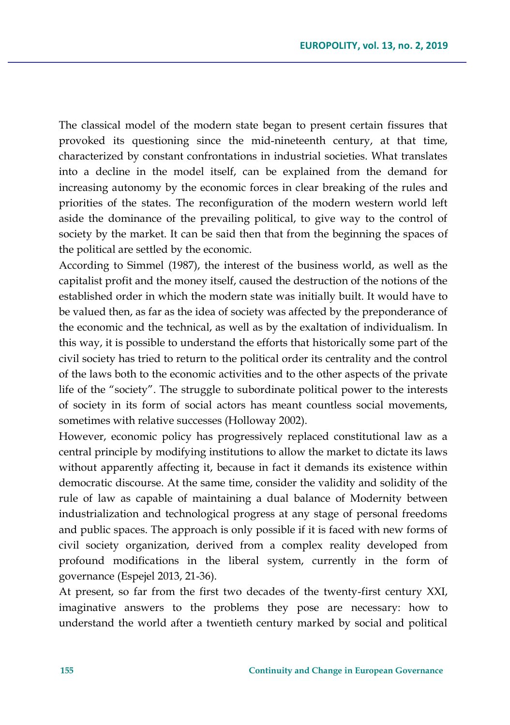The classical model of the modern state began to present certain fissures that provoked its questioning since the mid-nineteenth century, at that time, characterized by constant confrontations in industrial societies. What translates into a decline in the model itself, can be explained from the demand for increasing autonomy by the economic forces in clear breaking of the rules and priorities of the states. The reconfiguration of the modern western world left aside the dominance of the prevailing political, to give way to the control of society by the market. It can be said then that from the beginning the spaces of the political are settled by the economic.

According to Simmel (1987), the interest of the business world, as well as the capitalist profit and the money itself, caused the destruction of the notions of the established order in which the modern state was initially built. It would have to be valued then, as far as the idea of society was affected by the preponderance of the economic and the technical, as well as by the exaltation of individualism. In this way, it is possible to understand the efforts that historically some part of the civil society has tried to return to the political order its centrality and the control of the laws both to the economic activities and to the other aspects of the private life of the "society". The struggle to subordinate political power to the interests of society in its form of social actors has meant countless social movements, sometimes with relative successes (Holloway 2002).

However, economic policy has progressively replaced constitutional law as a central principle by modifying institutions to allow the market to dictate its laws without apparently affecting it, because in fact it demands its existence within democratic discourse. At the same time, consider the validity and solidity of the rule of law as capable of maintaining a dual balance of Modernity between industrialization and technological progress at any stage of personal freedoms and public spaces. The approach is only possible if it is faced with new forms of civil society organization, derived from a complex reality developed from profound modifications in the liberal system, currently in the form of governance (Espejel 2013, 21-36).

At present, so far from the first two decades of the twenty-first century XXI, imaginative answers to the problems they pose are necessary: how to understand the world after a twentieth century marked by social and political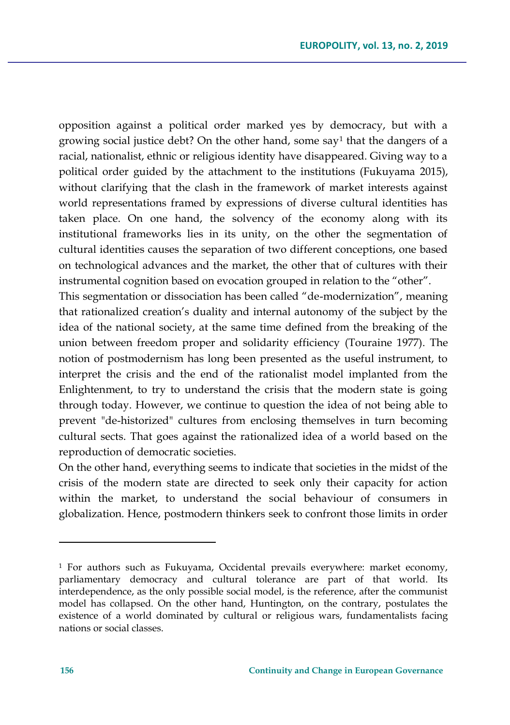opposition against a political order marked yes by democracy, but with a growing social justice debt? On the other hand, some say<sup>1</sup> that the dangers of a racial, nationalist, ethnic or religious identity have disappeared. Giving way to a political order guided by the attachment to the institutions (Fukuyama 2015), without clarifying that the clash in the framework of market interests against world representations framed by expressions of diverse cultural identities has taken place. On one hand, the solvency of the economy along with its institutional frameworks lies in its unity, on the other the segmentation of cultural identities causes the separation of two different conceptions, one based on technological advances and the market, the other that of cultures with their instrumental cognition based on evocation grouped in relation to the "other".

This segmentation or dissociation has been called "de-modernization", meaning that rationalized creation's duality and internal autonomy of the subject by the idea of the national society, at the same time defined from the breaking of the union between freedom proper and solidarity efficiency (Touraine 1977). The notion of postmodernism has long been presented as the useful instrument, to interpret the crisis and the end of the rationalist model implanted from the Enlightenment, to try to understand the crisis that the modern state is going through today. However, we continue to question the idea of not being able to prevent "de-historized" cultures from enclosing themselves in turn becoming cultural sects. That goes against the rationalized idea of a world based on the reproduction of democratic societies.

On the other hand, everything seems to indicate that societies in the midst of the crisis of the modern state are directed to seek only their capacity for action within the market, to understand the social behaviour of consumers in globalization. Hence, postmodern thinkers seek to confront those limits in order

 $\overline{a}$ 

<sup>&</sup>lt;sup>1</sup> For authors such as Fukuyama, Occidental prevails everywhere: market economy, parliamentary democracy and cultural tolerance are part of that world. Its interdependence, as the only possible social model, is the reference, after the communist model has collapsed. On the other hand, Huntington, on the contrary, postulates the existence of a world dominated by cultural or religious wars, fundamentalists facing nations or social classes.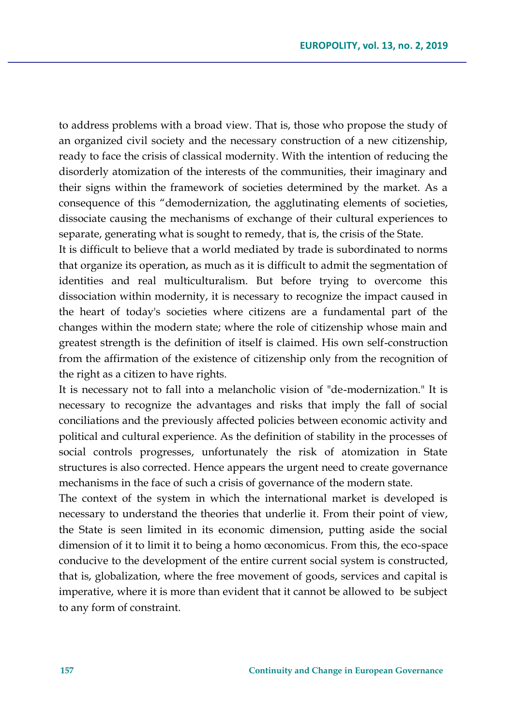to address problems with a broad view. That is, those who propose the study of an organized civil society and the necessary construction of a new citizenship, ready to face the crisis of classical modernity. With the intention of reducing the disorderly atomization of the interests of the communities, their imaginary and their signs within the framework of societies determined by the market. As a consequence of this "demodernization, the agglutinating elements of societies, dissociate causing the mechanisms of exchange of their cultural experiences to separate, generating what is sought to remedy, that is, the crisis of the State.

It is difficult to believe that a world mediated by trade is subordinated to norms that organize its operation, as much as it is difficult to admit the segmentation of identities and real multiculturalism. But before trying to overcome this dissociation within modernity, it is necessary to recognize the impact caused in the heart of today's societies where citizens are a fundamental part of the changes within the modern state; where the role of citizenship whose main and greatest strength is the definition of itself is claimed. His own self-construction from the affirmation of the existence of citizenship only from the recognition of the right as a citizen to have rights.

It is necessary not to fall into a melancholic vision of "de-modernization." It is necessary to recognize the advantages and risks that imply the fall of social conciliations and the previously affected policies between economic activity and political and cultural experience. As the definition of stability in the processes of social controls progresses, unfortunately the risk of atomization in State structures is also corrected. Hence appears the urgent need to create governance mechanisms in the face of such a crisis of governance of the modern state.

The context of the system in which the international market is developed is necessary to understand the theories that underlie it. From their point of view, the State is seen limited in its economic dimension, putting aside the social dimension of it to limit it to being a homo œconomicus. From this, the eco-space conducive to the development of the entire current social system is constructed, that is, globalization, where the free movement of goods, services and capital is imperative, where it is more than evident that it cannot be allowed to be subject to any form of constraint.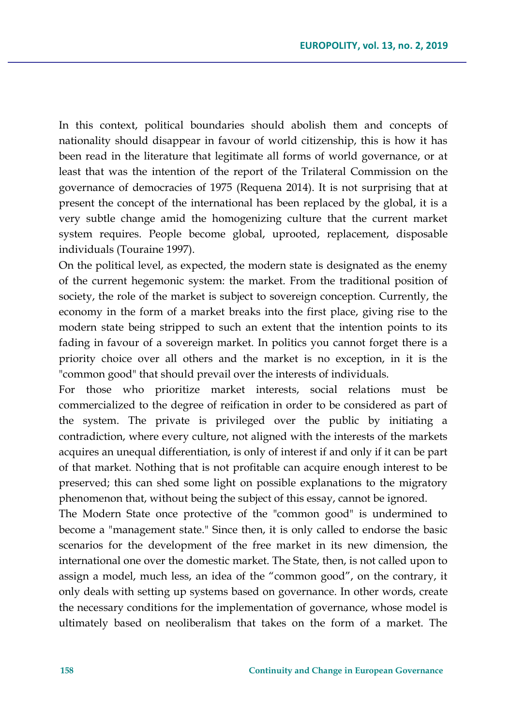In this context, political boundaries should abolish them and concepts of nationality should disappear in favour of world citizenship, this is how it has been read in the literature that legitimate all forms of world governance, or at least that was the intention of the report of the Trilateral Commission on the governance of democracies of 1975 (Requena 2014). It is not surprising that at present the concept of the international has been replaced by the global, it is a very subtle change amid the homogenizing culture that the current market system requires. People become global, uprooted, replacement, disposable individuals (Touraine 1997).

On the political level, as expected, the modern state is designated as the enemy of the current hegemonic system: the market. From the traditional position of society, the role of the market is subject to sovereign conception. Currently, the economy in the form of a market breaks into the first place, giving rise to the modern state being stripped to such an extent that the intention points to its fading in favour of a sovereign market. In politics you cannot forget there is a priority choice over all others and the market is no exception, in it is the "common good" that should prevail over the interests of individuals.

For those who prioritize market interests, social relations must be commercialized to the degree of reification in order to be considered as part of the system. The private is privileged over the public by initiating a contradiction, where every culture, not aligned with the interests of the markets acquires an unequal differentiation, is only of interest if and only if it can be part of that market. Nothing that is not profitable can acquire enough interest to be preserved; this can shed some light on possible explanations to the migratory phenomenon that, without being the subject of this essay, cannot be ignored.

The Modern State once protective of the "common good" is undermined to become a "management state." Since then, it is only called to endorse the basic scenarios for the development of the free market in its new dimension, the international one over the domestic market. The State, then, is not called upon to assign a model, much less, an idea of the "common good", on the contrary, it only deals with setting up systems based on governance. In other words, create the necessary conditions for the implementation of governance, whose model is ultimately based on neoliberalism that takes on the form of a market. The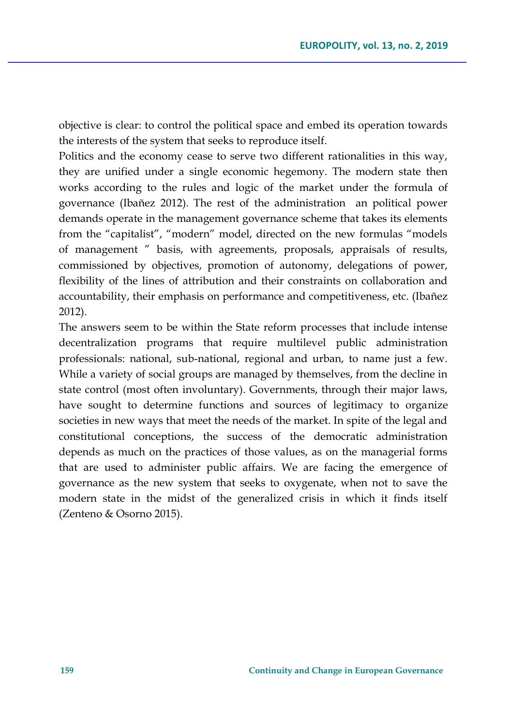objective is clear: to control the political space and embed its operation towards the interests of the system that seeks to reproduce itself.

Politics and the economy cease to serve two different rationalities in this way, they are unified under a single economic hegemony. The modern state then works according to the rules and logic of the market under the formula of governance (Ibañez 2012). The rest of the administration an political power demands operate in the management governance scheme that takes its elements from the "capitalist", "modern" model, directed on the new formulas "models of management " basis, with agreements, proposals, appraisals of results, commissioned by objectives, promotion of autonomy, delegations of power, flexibility of the lines of attribution and their constraints on collaboration and accountability, their emphasis on performance and competitiveness, etc. (Ibañez 2012).

The answers seem to be within the State reform processes that include intense decentralization programs that require multilevel public administration professionals: national, sub-national, regional and urban, to name just a few. While a variety of social groups are managed by themselves, from the decline in state control (most often involuntary). Governments, through their major laws, have sought to determine functions and sources of legitimacy to organize societies in new ways that meet the needs of the market. In spite of the legal and constitutional conceptions, the success of the democratic administration depends as much on the practices of those values, as on the managerial forms that are used to administer public affairs. We are facing the emergence of governance as the new system that seeks to oxygenate, when not to save the modern state in the midst of the generalized crisis in which it finds itself (Zenteno & Osorno 2015).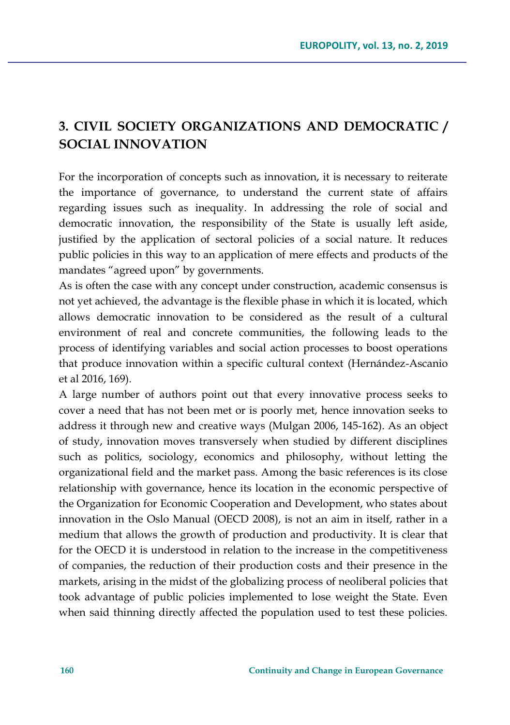## **3. CIVIL SOCIETY ORGANIZATIONS AND DEMOCRATIC / SOCIAL INNOVATION**

For the incorporation of concepts such as innovation, it is necessary to reiterate the importance of governance, to understand the current state of affairs regarding issues such as inequality. In addressing the role of social and democratic innovation, the responsibility of the State is usually left aside, justified by the application of sectoral policies of a social nature. It reduces public policies in this way to an application of mere effects and products of the mandates "agreed upon" by governments.

As is often the case with any concept under construction, academic consensus is not yet achieved, the advantage is the flexible phase in which it is located, which allows democratic innovation to be considered as the result of a cultural environment of real and concrete communities, the following leads to the process of identifying variables and social action processes to boost operations that produce innovation within a specific cultural context (Hernández-Ascanio et al 2016, 169).

A large number of authors point out that every innovative process seeks to cover a need that has not been met or is poorly met, hence innovation seeks to address it through new and creative ways (Mulgan 2006, 145-162). As an object of study, innovation moves transversely when studied by different disciplines such as politics, sociology, economics and philosophy, without letting the organizational field and the market pass. Among the basic references is its close relationship with governance, hence its location in the economic perspective of the Organization for Economic Cooperation and Development, who states about innovation in the Oslo Manual (OECD 2008), is not an aim in itself, rather in a medium that allows the growth of production and productivity. It is clear that for the OECD it is understood in relation to the increase in the competitiveness of companies, the reduction of their production costs and their presence in the markets, arising in the midst of the globalizing process of neoliberal policies that took advantage of public policies implemented to lose weight the State. Even when said thinning directly affected the population used to test these policies.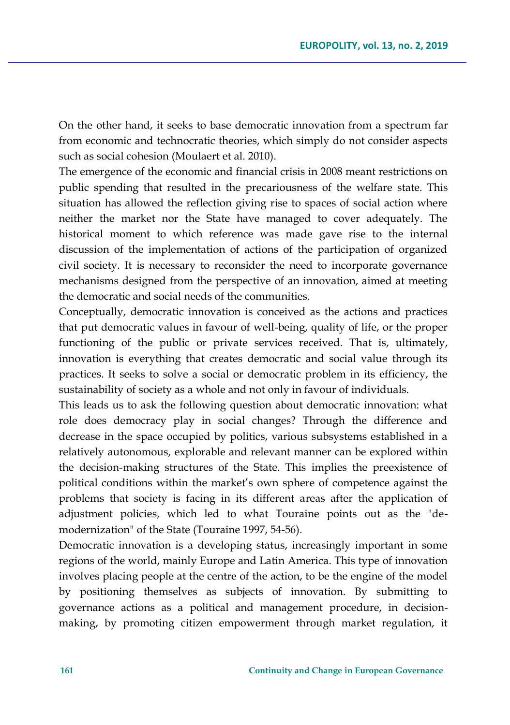On the other hand, it seeks to base democratic innovation from a spectrum far from economic and technocratic theories, which simply do not consider aspects such as social cohesion (Moulaert et al. 2010).

The emergence of the economic and financial crisis in 2008 meant restrictions on public spending that resulted in the precariousness of the welfare state. This situation has allowed the reflection giving rise to spaces of social action where neither the market nor the State have managed to cover adequately. The historical moment to which reference was made gave rise to the internal discussion of the implementation of actions of the participation of organized civil society. It is necessary to reconsider the need to incorporate governance mechanisms designed from the perspective of an innovation, aimed at meeting the democratic and social needs of the communities.

Conceptually, democratic innovation is conceived as the actions and practices that put democratic values in favour of well-being, quality of life, or the proper functioning of the public or private services received. That is, ultimately, innovation is everything that creates democratic and social value through its practices. It seeks to solve a social or democratic problem in its efficiency, the sustainability of society as a whole and not only in favour of individuals.

This leads us to ask the following question about democratic innovation: what role does democracy play in social changes? Through the difference and decrease in the space occupied by politics, various subsystems established in a relatively autonomous, explorable and relevant manner can be explored within the decision-making structures of the State. This implies the preexistence of political conditions within the market's own sphere of competence against the problems that society is facing in its different areas after the application of adjustment policies, which led to what Touraine points out as the "demodernization" of the State (Touraine 1997, 54-56).

Democratic innovation is a developing status, increasingly important in some regions of the world, mainly Europe and Latin America. This type of innovation involves placing people at the centre of the action, to be the engine of the model by positioning themselves as subjects of innovation. By submitting to governance actions as a political and management procedure, in decisionmaking, by promoting citizen empowerment through market regulation, it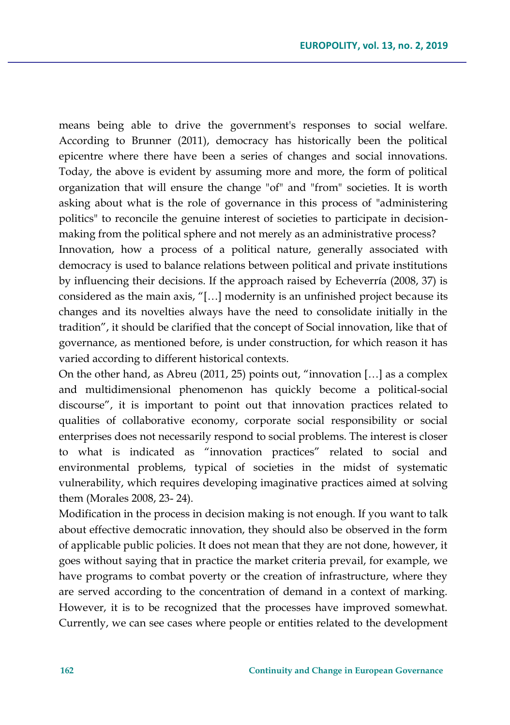means being able to drive the government's responses to social welfare. According to Brunner (2011), democracy has historically been the political epicentre where there have been a series of changes and social innovations. Today, the above is evident by assuming more and more, the form of political organization that will ensure the change "of" and "from" societies. It is worth asking about what is the role of governance in this process of "administering politics" to reconcile the genuine interest of societies to participate in decisionmaking from the political sphere and not merely as an administrative process?

Innovation, how a process of a political nature, generally associated with democracy is used to balance relations between political and private institutions by influencing their decisions. If the approach raised by Echeverría (2008, 37) is considered as the main axis, "[…] modernity is an unfinished project because its changes and its novelties always have the need to consolidate initially in the tradition", it should be clarified that the concept of Social innovation, like that of governance, as mentioned before, is under construction, for which reason it has varied according to different historical contexts.

On the other hand, as Abreu (2011, 25) points out, "innovation […] as a complex and multidimensional phenomenon has quickly become a political-social discourse", it is important to point out that innovation practices related to qualities of collaborative economy, corporate social responsibility or social enterprises does not necessarily respond to social problems. The interest is closer to what is indicated as "innovation practices" related to social and environmental problems, typical of societies in the midst of systematic vulnerability, which requires developing imaginative practices aimed at solving them (Morales 2008, 23- 24).

Modification in the process in decision making is not enough. If you want to talk about effective democratic innovation, they should also be observed in the form of applicable public policies. It does not mean that they are not done, however, it goes without saying that in practice the market criteria prevail, for example, we have programs to combat poverty or the creation of infrastructure, where they are served according to the concentration of demand in a context of marking. However, it is to be recognized that the processes have improved somewhat. Currently, we can see cases where people or entities related to the development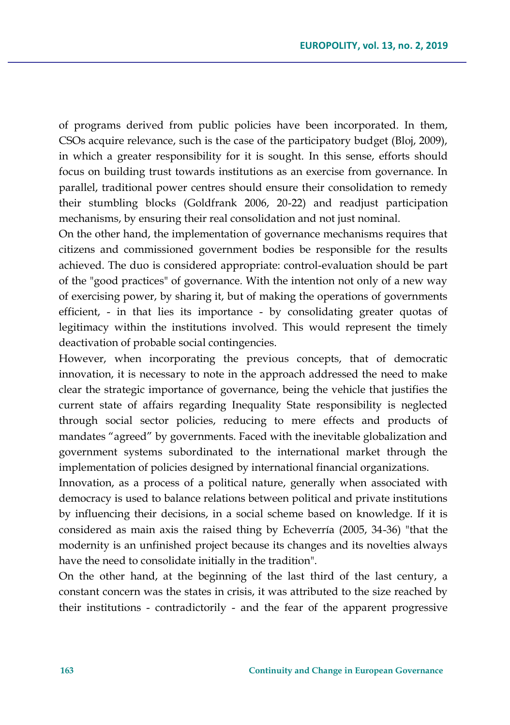of programs derived from public policies have been incorporated. In them, CSOs acquire relevance, such is the case of the participatory budget (Bloj, 2009), in which a greater responsibility for it is sought. In this sense, efforts should focus on building trust towards institutions as an exercise from governance. In parallel, traditional power centres should ensure their consolidation to remedy their stumbling blocks (Goldfrank 2006, 20-22) and readjust participation mechanisms, by ensuring their real consolidation and not just nominal.

On the other hand, the implementation of governance mechanisms requires that citizens and commissioned government bodies be responsible for the results achieved. The duo is considered appropriate: control-evaluation should be part of the "good practices" of governance. With the intention not only of a new way of exercising power, by sharing it, but of making the operations of governments efficient, - in that lies its importance - by consolidating greater quotas of legitimacy within the institutions involved. This would represent the timely deactivation of probable social contingencies.

However, when incorporating the previous concepts, that of democratic innovation, it is necessary to note in the approach addressed the need to make clear the strategic importance of governance, being the vehicle that justifies the current state of affairs regarding Inequality State responsibility is neglected through social sector policies, reducing to mere effects and products of mandates "agreed" by governments. Faced with the inevitable globalization and government systems subordinated to the international market through the implementation of policies designed by international financial organizations.

Innovation, as a process of a political nature, generally when associated with democracy is used to balance relations between political and private institutions by influencing their decisions, in a social scheme based on knowledge. If it is considered as main axis the raised thing by Echeverría (2005, 34-36) "that the modernity is an unfinished project because its changes and its novelties always have the need to consolidate initially in the tradition".

On the other hand, at the beginning of the last third of the last century, a constant concern was the states in crisis, it was attributed to the size reached by their institutions - contradictorily - and the fear of the apparent progressive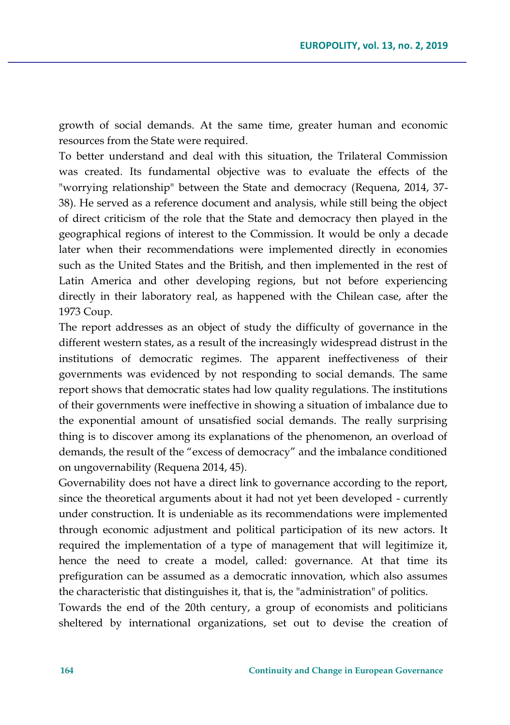growth of social demands. At the same time, greater human and economic resources from the State were required.

To better understand and deal with this situation, the Trilateral Commission was created. Its fundamental objective was to evaluate the effects of the "worrying relationship" between the State and democracy (Requena, 2014, 37- 38). He served as a reference document and analysis, while still being the object of direct criticism of the role that the State and democracy then played in the geographical regions of interest to the Commission. It would be only a decade later when their recommendations were implemented directly in economies such as the United States and the British, and then implemented in the rest of Latin America and other developing regions, but not before experiencing directly in their laboratory real, as happened with the Chilean case, after the 1973 Coup.

The report addresses as an object of study the difficulty of governance in the different western states, as a result of the increasingly widespread distrust in the institutions of democratic regimes. The apparent ineffectiveness of their governments was evidenced by not responding to social demands. The same report shows that democratic states had low quality regulations. The institutions of their governments were ineffective in showing a situation of imbalance due to the exponential amount of unsatisfied social demands. The really surprising thing is to discover among its explanations of the phenomenon, an overload of demands, the result of the "excess of democracy" and the imbalance conditioned on ungovernability (Requena 2014, 45).

Governability does not have a direct link to governance according to the report, since the theoretical arguments about it had not yet been developed - currently under construction. It is undeniable as its recommendations were implemented through economic adjustment and political participation of its new actors. It required the implementation of a type of management that will legitimize it, hence the need to create a model, called: governance. At that time its prefiguration can be assumed as a democratic innovation, which also assumes the characteristic that distinguishes it, that is, the "administration" of politics.

Towards the end of the 20th century, a group of economists and politicians sheltered by international organizations, set out to devise the creation of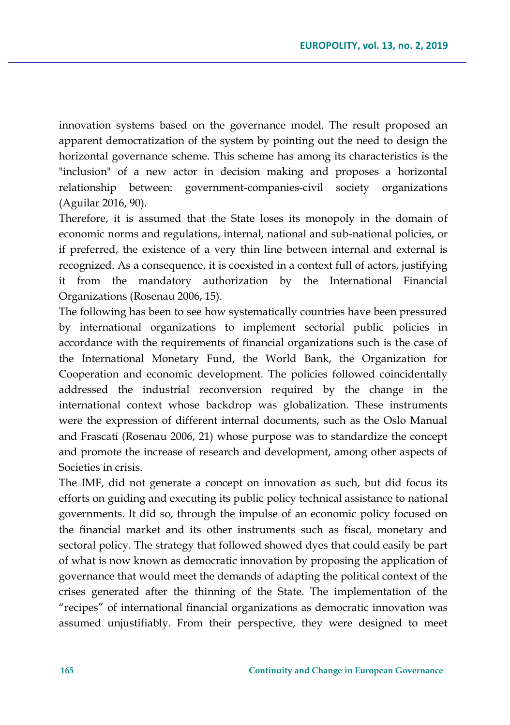innovation systems based on the governance model. The result proposed an apparent democratization of the system by pointing out the need to design the horizontal governance scheme. This scheme has among its characteristics is the "inclusion" of a new actor in decision making and proposes a horizontal relationship between: government-companies-civil society organizations (Aguilar 2016, 90).

Therefore, it is assumed that the State loses its monopoly in the domain of economic norms and regulations, internal, national and sub-national policies, or if preferred, the existence of a very thin line between internal and external is recognized. As a consequence, it is coexisted in a context full of actors, justifying it from the mandatory authorization by the International Financial Organizations (Rosenau 2006, 15).

The following has been to see how systematically countries have been pressured by international organizations to implement sectorial public policies in accordance with the requirements of financial organizations such is the case of the International Monetary Fund, the World Bank, the Organization for Cooperation and economic development. The policies followed coincidentally addressed the industrial reconversion required by the change in the international context whose backdrop was globalization. These instruments were the expression of different internal documents, such as the Oslo Manual and Frascati (Rosenau 2006, 21) whose purpose was to standardize the concept and promote the increase of research and development, among other aspects of Societies in crisis.

The IMF, did not generate a concept on innovation as such, but did focus its efforts on guiding and executing its public policy technical assistance to national governments. It did so, through the impulse of an economic policy focused on the financial market and its other instruments such as fiscal, monetary and sectoral policy. The strategy that followed showed dyes that could easily be part of what is now known as democratic innovation by proposing the application of governance that would meet the demands of adapting the political context of the crises generated after the thinning of the State. The implementation of the "recipes" of international financial organizations as democratic innovation was assumed unjustifiably. From their perspective, they were designed to meet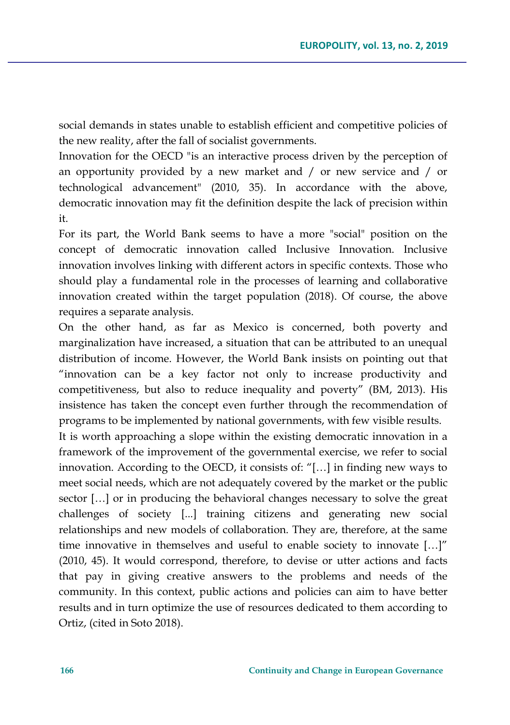social demands in states unable to establish efficient and competitive policies of the new reality, after the fall of socialist governments.

Innovation for the OECD "is an interactive process driven by the perception of an opportunity provided by a new market and / or new service and / or technological advancement" (2010, 35). In accordance with the above, democratic innovation may fit the definition despite the lack of precision within it.

For its part, the World Bank seems to have a more "social" position on the concept of democratic innovation called Inclusive Innovation. Inclusive innovation involves linking with different actors in specific contexts. Those who should play a fundamental role in the processes of learning and collaborative innovation created within the target population (2018). Of course, the above requires a separate analysis.

On the other hand, as far as Mexico is concerned, both poverty and marginalization have increased, a situation that can be attributed to an unequal distribution of income. However, the World Bank insists on pointing out that "innovation can be a key factor not only to increase productivity and competitiveness, but also to reduce inequality and poverty" (BM, 2013). His insistence has taken the concept even further through the recommendation of programs to be implemented by national governments, with few visible results.

It is worth approaching a slope within the existing democratic innovation in a framework of the improvement of the governmental exercise, we refer to social innovation. According to the OECD, it consists of: "[…] in finding new ways to meet social needs, which are not adequately covered by the market or the public sector […] or in producing the behavioral changes necessary to solve the great challenges of society [...] training citizens and generating new social relationships and new models of collaboration. They are, therefore, at the same time innovative in themselves and useful to enable society to innovate […]" (2010, 45). It would correspond, therefore, to devise or utter actions and facts that pay in giving creative answers to the problems and needs of the community. In this context, public actions and policies can aim to have better results and in turn optimize the use of resources dedicated to them according to Ortiz, (cited in Soto 2018).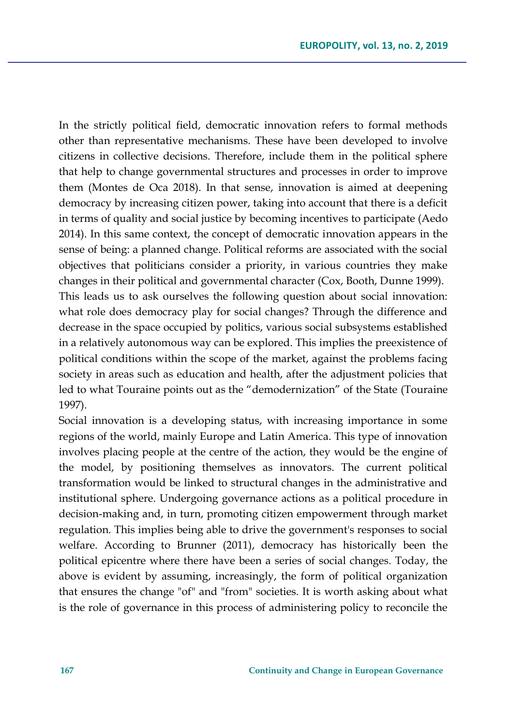In the strictly political field, democratic innovation refers to formal methods other than representative mechanisms. These have been developed to involve citizens in collective decisions. Therefore, include them in the political sphere that help to change governmental structures and processes in order to improve them (Montes de Oca 2018). In that sense, innovation is aimed at deepening democracy by increasing citizen power, taking into account that there is a deficit in terms of quality and social justice by becoming incentives to participate (Aedo 2014). In this same context, the concept of democratic innovation appears in the sense of being: a planned change. Political reforms are associated with the social objectives that politicians consider a priority, in various countries they make changes in their political and governmental character (Cox, Booth, Dunne 1999). This leads us to ask ourselves the following question about social innovation: what role does democracy play for social changes? Through the difference and decrease in the space occupied by politics, various social subsystems established in a relatively autonomous way can be explored. This implies the preexistence of political conditions within the scope of the market, against the problems facing society in areas such as education and health, after the adjustment policies that led to what Touraine points out as the "demodernization" of the State (Touraine 1997).

Social innovation is a developing status, with increasing importance in some regions of the world, mainly Europe and Latin America. This type of innovation involves placing people at the centre of the action, they would be the engine of the model, by positioning themselves as innovators. The current political transformation would be linked to structural changes in the administrative and institutional sphere. Undergoing governance actions as a political procedure in decision-making and, in turn, promoting citizen empowerment through market regulation. This implies being able to drive the government's responses to social welfare. According to Brunner (2011), democracy has historically been the political epicentre where there have been a series of social changes. Today, the above is evident by assuming, increasingly, the form of political organization that ensures the change "of" and "from" societies. It is worth asking about what is the role of governance in this process of administering policy to reconcile the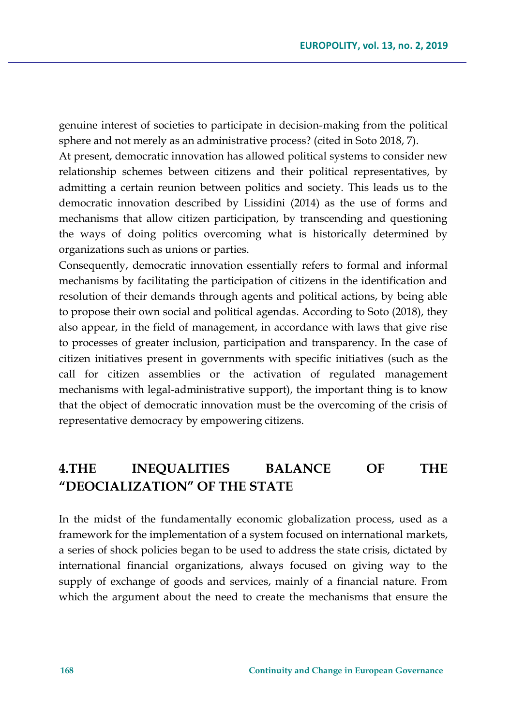genuine interest of societies to participate in decision-making from the political sphere and not merely as an administrative process? (cited in Soto 2018, 7).

At present, democratic innovation has allowed political systems to consider new relationship schemes between citizens and their political representatives, by admitting a certain reunion between politics and society. This leads us to the democratic innovation described by Lissidini (2014) as the use of forms and mechanisms that allow citizen participation, by transcending and questioning the ways of doing politics overcoming what is historically determined by organizations such as unions or parties.

Consequently, democratic innovation essentially refers to formal and informal mechanisms by facilitating the participation of citizens in the identification and resolution of their demands through agents and political actions, by being able to propose their own social and political agendas. According to Soto (2018), they also appear, in the field of management, in accordance with laws that give rise to processes of greater inclusion, participation and transparency. In the case of citizen initiatives present in governments with specific initiatives (such as the call for citizen assemblies or the activation of regulated management mechanisms with legal-administrative support), the important thing is to know that the object of democratic innovation must be the overcoming of the crisis of representative democracy by empowering citizens.

## **4.THE INEQUALITIES BALANCE OF THE "DEOCIALIZATION" OF THE STATE**

In the midst of the fundamentally economic globalization process, used as a framework for the implementation of a system focused on international markets, a series of shock policies began to be used to address the state crisis, dictated by international financial organizations, always focused on giving way to the supply of exchange of goods and services, mainly of a financial nature. From which the argument about the need to create the mechanisms that ensure the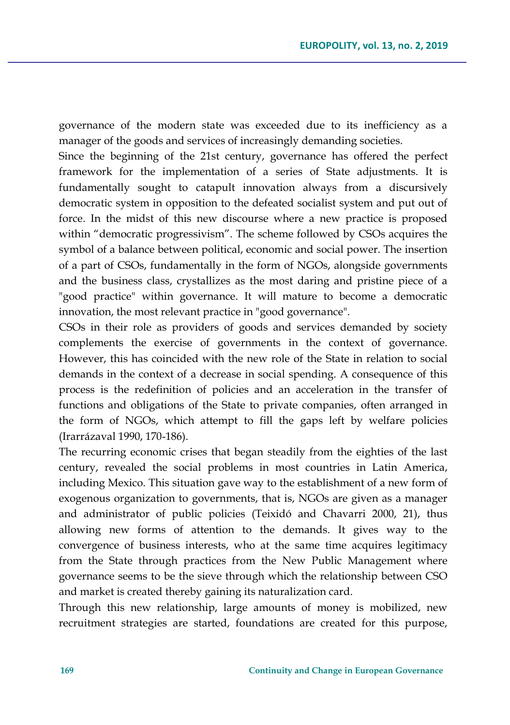governance of the modern state was exceeded due to its inefficiency as a manager of the goods and services of increasingly demanding societies.

Since the beginning of the 21st century, governance has offered the perfect framework for the implementation of a series of State adjustments. It is fundamentally sought to catapult innovation always from a discursively democratic system in opposition to the defeated socialist system and put out of force. In the midst of this new discourse where a new practice is proposed within "democratic progressivism". The scheme followed by CSOs acquires the symbol of a balance between political, economic and social power. The insertion of a part of CSOs, fundamentally in the form of NGOs, alongside governments and the business class, crystallizes as the most daring and pristine piece of a "good practice" within governance. It will mature to become a democratic innovation, the most relevant practice in "good governance".

CSOs in their role as providers of goods and services demanded by society complements the exercise of governments in the context of governance. However, this has coincided with the new role of the State in relation to social demands in the context of a decrease in social spending. A consequence of this process is the redefinition of policies and an acceleration in the transfer of functions and obligations of the State to private companies, often arranged in the form of NGOs, which attempt to fill the gaps left by welfare policies (Irarrázaval 1990, 170-186).

The recurring economic crises that began steadily from the eighties of the last century, revealed the social problems in most countries in Latin America, including Mexico. This situation gave way to the establishment of a new form of exogenous organization to governments, that is, NGOs are given as a manager and administrator of public policies (Teixidó and Chavarri 2000, 21), thus allowing new forms of attention to the demands. It gives way to the convergence of business interests, who at the same time acquires legitimacy from the State through practices from the New Public Management where governance seems to be the sieve through which the relationship between CSO and market is created thereby gaining its naturalization card.

Through this new relationship, large amounts of money is mobilized, new recruitment strategies are started, foundations are created for this purpose,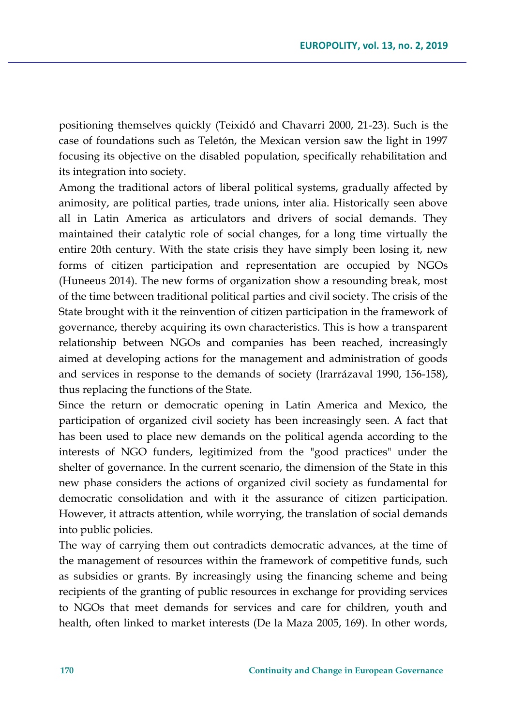positioning themselves quickly (Teixidó and Chavarri 2000, 21-23). Such is the case of foundations such as Teletón, the Mexican version saw the light in 1997 focusing its objective on the disabled population, specifically rehabilitation and its integration into society.

Among the traditional actors of liberal political systems, gradually affected by animosity, are political parties, trade unions, inter alia. Historically seen above all in Latin America as articulators and drivers of social demands. They maintained their catalytic role of social changes, for a long time virtually the entire 20th century. With the state crisis they have simply been losing it, new forms of citizen participation and representation are occupied by NGOs (Huneeus 2014). The new forms of organization show a resounding break, most of the time between traditional political parties and civil society. The crisis of the State brought with it the reinvention of citizen participation in the framework of governance, thereby acquiring its own characteristics. This is how a transparent relationship between NGOs and companies has been reached, increasingly aimed at developing actions for the management and administration of goods and services in response to the demands of society (Irarrázaval 1990, 156-158), thus replacing the functions of the State.

Since the return or democratic opening in Latin America and Mexico, the participation of organized civil society has been increasingly seen. A fact that has been used to place new demands on the political agenda according to the interests of NGO funders, legitimized from the "good practices" under the shelter of governance. In the current scenario, the dimension of the State in this new phase considers the actions of organized civil society as fundamental for democratic consolidation and with it the assurance of citizen participation. However, it attracts attention, while worrying, the translation of social demands into public policies.

The way of carrying them out contradicts democratic advances, at the time of the management of resources within the framework of competitive funds, such as subsidies or grants. By increasingly using the financing scheme and being recipients of the granting of public resources in exchange for providing services to NGOs that meet demands for services and care for children, youth and health, often linked to market interests (De la Maza 2005, 169). In other words,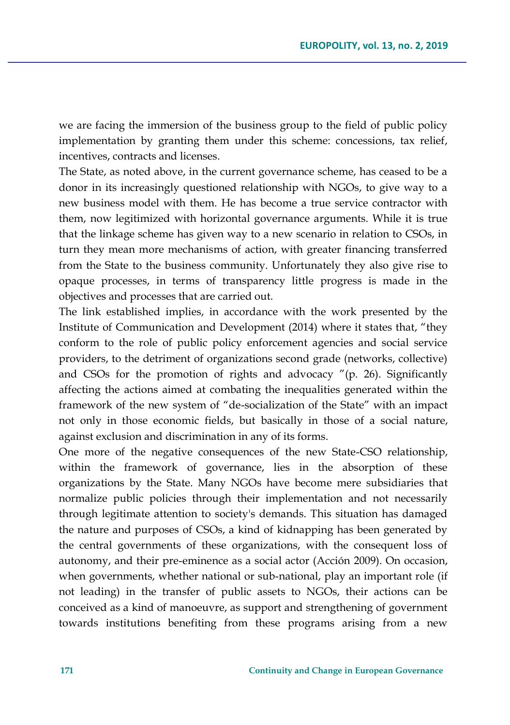we are facing the immersion of the business group to the field of public policy implementation by granting them under this scheme: concessions, tax relief, incentives, contracts and licenses.

The State, as noted above, in the current governance scheme, has ceased to be a donor in its increasingly questioned relationship with NGOs, to give way to a new business model with them. He has become a true service contractor with them, now legitimized with horizontal governance arguments. While it is true that the linkage scheme has given way to a new scenario in relation to CSOs, in turn they mean more mechanisms of action, with greater financing transferred from the State to the business community. Unfortunately they also give rise to opaque processes, in terms of transparency little progress is made in the objectives and processes that are carried out.

The link established implies, in accordance with the work presented by the Institute of Communication and Development (2014) where it states that, "they conform to the role of public policy enforcement agencies and social service providers, to the detriment of organizations second grade (networks, collective) and CSOs for the promotion of rights and advocacy "(p. 26). Significantly affecting the actions aimed at combating the inequalities generated within the framework of the new system of "de-socialization of the State" with an impact not only in those economic fields, but basically in those of a social nature, against exclusion and discrimination in any of its forms.

One more of the negative consequences of the new State-CSO relationship, within the framework of governance, lies in the absorption of these organizations by the State. Many NGOs have become mere subsidiaries that normalize public policies through their implementation and not necessarily through legitimate attention to society's demands. This situation has damaged the nature and purposes of CSOs, a kind of kidnapping has been generated by the central governments of these organizations, with the consequent loss of autonomy, and their pre-eminence as a social actor (Acción 2009). On occasion, when governments, whether national or sub-national, play an important role (if not leading) in the transfer of public assets to NGOs, their actions can be conceived as a kind of manoeuvre, as support and strengthening of government towards institutions benefiting from these programs arising from a new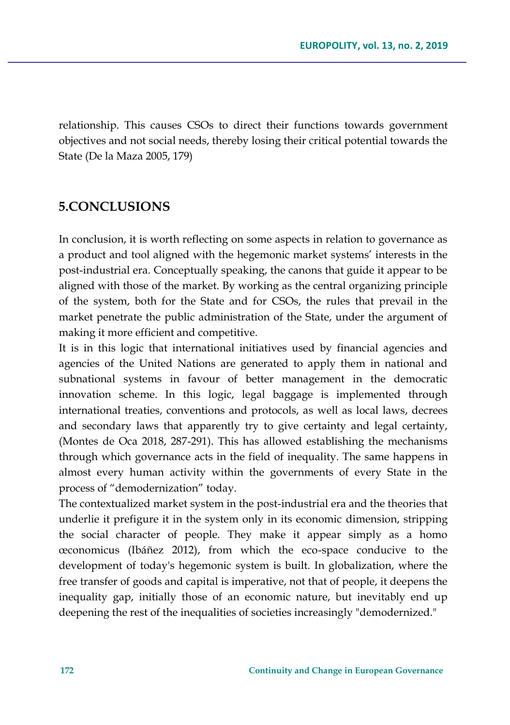relationship. This causes CSOs to direct their functions towards government objectives and not social needs, thereby losing their critical potential towards the State (De la Maza 2005, 179)

### **5.CONCLUSIONS**

In conclusion, it is worth reflecting on some aspects in relation to governance as a product and tool aligned with the hegemonic market systems' interests in the post-industrial era. Conceptually speaking, the canons that guide it appear to be aligned with those of the market. By working as the central organizing principle of the system, both for the State and for CSOs, the rules that prevail in the market penetrate the public administration of the State, under the argument of making it more efficient and competitive.

It is in this logic that international initiatives used by financial agencies and agencies of the United Nations are generated to apply them in national and subnational systems in favour of better management in the democratic innovation scheme. In this logic, legal baggage is implemented through international treaties, conventions and protocols, as well as local laws, decrees and secondary laws that apparently try to give certainty and legal certainty, (Montes de Oca 2018, 287-291). This has allowed establishing the mechanisms through which governance acts in the field of inequality. The same happens in almost every human activity within the governments of every State in the process of "demodernization" today.

The contextualized market system in the post-industrial era and the theories that underlie it prefigure it in the system only in its economic dimension, stripping the social character of people. They make it appear simply as a homo œconomicus (Ibáñez 2012), from which the eco-space conducive to the development of today's hegemonic system is built. In globalization, where the free transfer of goods and capital is imperative, not that of people, it deepens the inequality gap, initially those of an economic nature, but inevitably end up deepening the rest of the inequalities of societies increasingly "demodernized."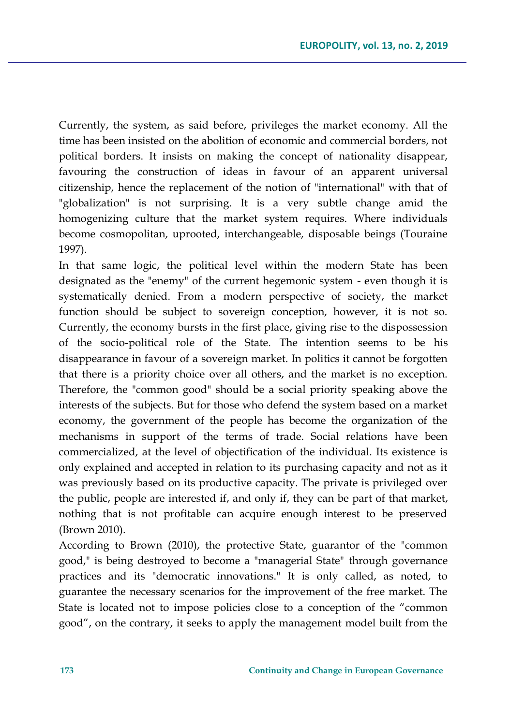Currently, the system, as said before, privileges the market economy. All the time has been insisted on the abolition of economic and commercial borders, not political borders. It insists on making the concept of nationality disappear, favouring the construction of ideas in favour of an apparent universal citizenship, hence the replacement of the notion of "international" with that of "globalization" is not surprising. It is a very subtle change amid the homogenizing culture that the market system requires. Where individuals become cosmopolitan, uprooted, interchangeable, disposable beings (Touraine 1997).

In that same logic, the political level within the modern State has been designated as the "enemy" of the current hegemonic system - even though it is systematically denied. From a modern perspective of society, the market function should be subject to sovereign conception, however, it is not so. Currently, the economy bursts in the first place, giving rise to the dispossession of the socio-political role of the State. The intention seems to be his disappearance in favour of a sovereign market. In politics it cannot be forgotten that there is a priority choice over all others, and the market is no exception. Therefore, the "common good" should be a social priority speaking above the interests of the subjects. But for those who defend the system based on a market economy, the government of the people has become the organization of the mechanisms in support of the terms of trade. Social relations have been commercialized, at the level of objectification of the individual. Its existence is only explained and accepted in relation to its purchasing capacity and not as it was previously based on its productive capacity. The private is privileged over the public, people are interested if, and only if, they can be part of that market, nothing that is not profitable can acquire enough interest to be preserved (Brown 2010).

According to Brown (2010), the protective State, guarantor of the "common good," is being destroyed to become a "managerial State" through governance practices and its "democratic innovations." It is only called, as noted, to guarantee the necessary scenarios for the improvement of the free market. The State is located not to impose policies close to a conception of the "common good", on the contrary, it seeks to apply the management model built from the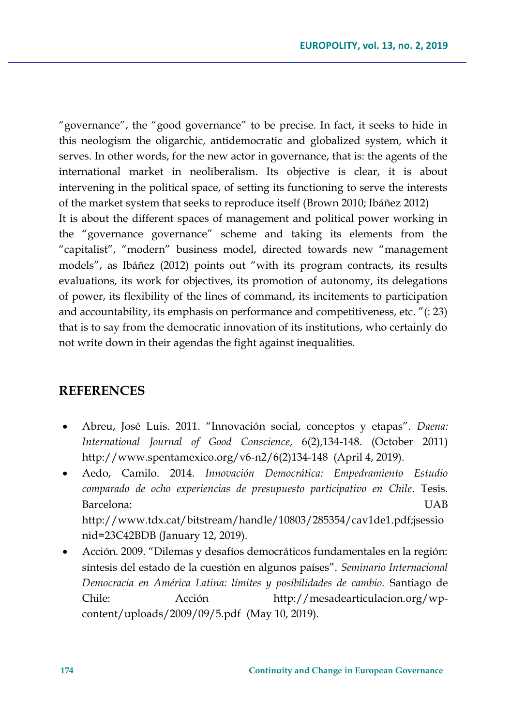"governance", the "good governance" to be precise. In fact, it seeks to hide in this neologism the oligarchic, antidemocratic and globalized system, which it serves. In other words, for the new actor in governance, that is: the agents of the international market in neoliberalism. Its objective is clear, it is about intervening in the political space, of setting its functioning to serve the interests of the market system that seeks to reproduce itself (Brown 2010; Ibáñez 2012) It is about the different spaces of management and political power working in the "governance governance" scheme and taking its elements from the "capitalist", "modern" business model, directed towards new "management models", as Ibáñez (2012) points out "with its program contracts, its results evaluations, its work for objectives, its promotion of autonomy, its delegations of power, its flexibility of the lines of command, its incitements to participation and accountability, its emphasis on performance and competitiveness, etc. "(: 23) that is to say from the democratic innovation of its institutions, who certainly do not write down in their agendas the fight against inequalities.

### **REFERENCES**

- Abreu, José Luis. 2011. "Innovación social, conceptos y etapas". *Daena: International Journal of Good Conscience*, 6(2),134-148. (October 2011) [http://www.spentamexico.org/v6-n2/6\(2\)134-148](http://www.spentamexico.org/v6-n2/6(2)134-148) (April 4, 2019).
- Aedo, Camilo. 2014. *Innovación Democrática: Empedramiento Estudio comparado de ocho experiencias de presupuesto participativo en Chile*. Tesis. Barcelona: UAB [http://www.tdx.cat/bitstream/handle/10803/285354/cav1de1.pdf;jsessio](http://www.tdx.cat/bitstream/handle/10803/285354/cav1de1.pdf;jsessionid=23C42BDB) [nid=23C42BDB](http://www.tdx.cat/bitstream/handle/10803/285354/cav1de1.pdf;jsessionid=23C42BDB) (January 12, 2019).
- Acción. 2009. "Dilemas y desafíos democráticos fundamentales en la región: síntesis del estado de la cuestión en algunos países". *Seminario Internacional Democracia en América Latina: límites y posibilidades de cambio.* Santiago de Chile: Acción [http://mesadearticulacion.org/wp](http://mesadearticulacion.org/wp-content/uploads/2009/09/5.pdf)[content/uploads/2009/09/5.pdf](http://mesadearticulacion.org/wp-content/uploads/2009/09/5.pdf) (May 10, 2019).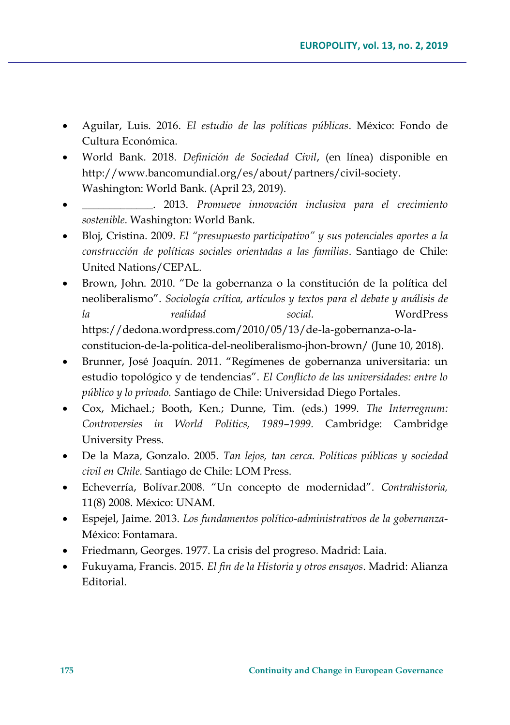- Aguilar, Luis. 2016. *El estudio de las políticas públicas*. México: Fondo de Cultura Económica.
- World Bank. 2018. *Definición de Sociedad Civil*, (en línea) disponible en [http://www.bancomundial.org/es/about/partners/civil-society.](http://www.bancomundial.org/es/about/partners/civil-society) Washington: World Bank. (April 23, 2019).
- \_\_\_\_\_\_\_\_\_\_\_\_\_. 2013. *Promueve innovación inclusiva para el crecimiento sostenible*. Washington: World Bank.
- Bloj, Cristina. 2009. *El "presupuesto participativo" y sus potenciales aportes a la construcción de políticas sociales orientadas a las familias*. Santiago de Chile: United Nations/CEPAL.
- Brown, John. 2010. "De la gobernanza o la constitución de la política del neoliberalismo". *Sociología crítica, artículos y textos para el debate y análisis de la realidad social.* WordPress [https://dedona.wordpress.com/2010/05/13/de-la-gobernanza-o-la](https://dedona.wordpress.com/2010/05/13/de-la-gobernanza-o-la-constitucion-de-la-politica-del-neoliberalismo-jhon-brown/)[constitucion-de-la-politica-del-neoliberalismo-jhon-brown/](https://dedona.wordpress.com/2010/05/13/de-la-gobernanza-o-la-constitucion-de-la-politica-del-neoliberalismo-jhon-brown/) (June 10, 2018).
- Brunner, José Joaquín. 2011. "Regímenes de gobernanza universitaria: un estudio topológico y de tendencias". *El Conflicto de las universidades: entre lo público y lo privado. S*antiago de Chile: Universidad Diego Portales.
- Cox, Michael.; Booth, Ken.; Dunne, Tim. (eds.) 1999. *The Interregnum: Controversies in World Politics, 1989–1999.* Cambridge: Cambridge University Press.
- De la Maza, Gonzalo. 2005. *Tan lejos, tan cerca. Políticas públicas y sociedad civil en Chile.* Santiago de Chile: LOM Press.
- Echeverría, Bolívar.2008. "Un concepto de modernidad". *Contrahistoria,* 11(8) 2008. México: UNAM.
- Espejel, Jaime. 2013. *Los fundamentos político-administrativos de la gobernanza*-México: Fontamara.
- Friedmann, Georges. 1977. La crisis del progreso. Madrid: Laia.
- Fukuyama, Francis. 2015. *El fin de la Historia y otros ensayos*. Madrid: Alianza Editorial.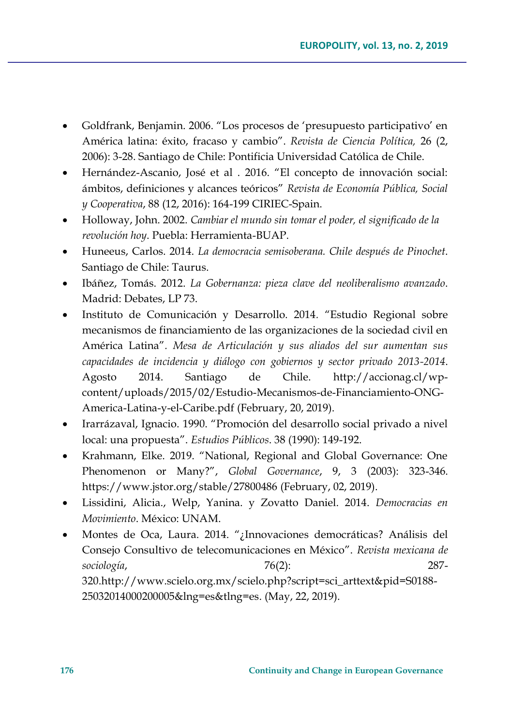- Goldfrank, Benjamin. 2006. "Los procesos de 'presupuesto participativo' en América latina: éxito, fracaso y cambio". *Revista de Ciencia Política,* 26 (2, 2006): 3-28. Santiago de Chile: Pontificia Universidad Católica de Chile.
- Hernández-Ascanio, José et al . 2016. "El concepto de innovación social: ámbitos, definiciones y alcances teóricos" *Revista de Economía Pública, Social y Cooperativa*, 88 (12, 2016): 164-199 CIRIEC-Spain.
- Holloway, John. 2002. *Cambiar el mundo sin tomar el poder, el significado de la revolución hoy*. Puebla: Herramienta-BUAP.
- Huneeus, Carlos. 2014. *La democracia semisoberana. Chile después de Pinochet*. Santiago de Chile: Taurus.
- Ibáñez, Tomás. 2012. *La Gobernanza: pieza clave del neoliberalismo avanzado*. Madrid: Debates, LP 73.
- Instituto de Comunicación y Desarrollo. 2014*.* "Estudio Regional sobre mecanismos de financiamiento de las organizaciones de la sociedad civil en América Latina"*. Mesa de Articulación y sus aliados del sur aumentan sus capacidades de incidencia y diálogo con gobiernos y sector privado 2013-2014*. Agosto 2014. Santiago de Chile. [http://accionag.cl/wp](http://accionag.cl/wp-content/uploads/2015/02/Estudio-Mecanismos-de-Financiamiento-ONG-America-Latina-y-el-Caribe.pdf)[content/uploads/2015/02/Estudio-Mecanismos-de-Financiamiento-ONG-](http://accionag.cl/wp-content/uploads/2015/02/Estudio-Mecanismos-de-Financiamiento-ONG-America-Latina-y-el-Caribe.pdf)[America-Latina-y-el-Caribe.pdf](http://accionag.cl/wp-content/uploads/2015/02/Estudio-Mecanismos-de-Financiamiento-ONG-America-Latina-y-el-Caribe.pdf) (February, 20, 2019).
- Irarrázaval, Ignacio. 1990. "Promoción del desarrollo social privado a nivel local: una propuesta". *Estudios Públicos*. 38 (1990): 149-192.
- Krahmann, Elke. 2019. "National, Regional and Global Governance: One Phenomenon or Many?", *Global Governance*, 9, 3 (2003): 323-346. <https://www.jstor.org/stable/27800486> (February, 02, 2019).
- Lissidini, Alicia., Welp, Yanina. y Zovatto Daniel. 2014. *Democracias en Movimiento*. México: UNAM.
- Montes de Oca, Laura. 2014. "¿Innovaciones democráticas? Análisis del Consejo Consultivo de telecomunicaciones en México". *Revista mexicana de sociología*, 76(2): 287- 320[.http://www.scielo.org.mx/scielo.php?script=sci\\_arttext&pid=S0188-](http://www.scielo.org.mx/scielo.php?script=sci_arttext&pid=S0188-25032014000200005&lng=es&tlng=es) [25032014000200005&lng=es&tlng=es.](http://www.scielo.org.mx/scielo.php?script=sci_arttext&pid=S0188-25032014000200005&lng=es&tlng=es) (May, 22, 2019).